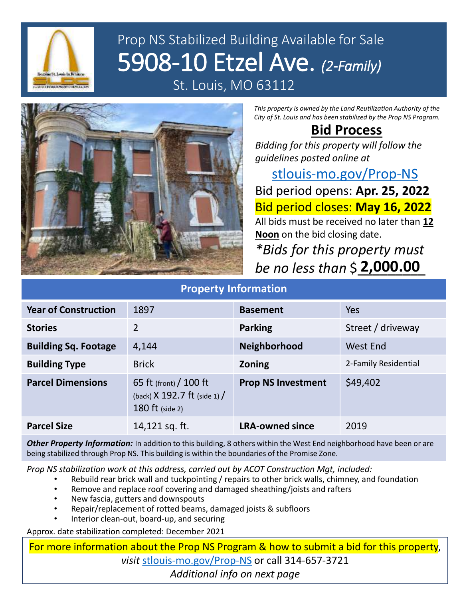

## Prop NS Stabilized Building Available for Sale 5908-10 Etzel Ave. *(2-Family)* St. Louis, MO 63112



*This property is owned by the Land Reutilization Authority of the City of St. Louis and has been stabilized by the Prop NS Program.*

## **Bid Process**

*Bidding for this property will follow the guidelines posted online at* 

[stlouis-mo.gov/Prop-NS](https://stlouis-mo.gov/Prop-NS) Bid period opens: **Apr. 25, 2022** Bid period closes: **May 16, 2022** All bids must be received no later than **12 Noon** on the bid closing date.

*\*Bids for this property must be no less than* \$\_\_\_\_\_\_\_\_\_ **2,000.00**

| <b>Property Information</b> |                                                                                      |                           |                      |
|-----------------------------|--------------------------------------------------------------------------------------|---------------------------|----------------------|
| <b>Year of Construction</b> | 1897                                                                                 | <b>Basement</b>           | Yes                  |
| <b>Stories</b>              | 2                                                                                    | <b>Parking</b>            | Street / driveway    |
| <b>Building Sq. Footage</b> | 4,144                                                                                | <b>Neighborhood</b>       | <b>West End</b>      |
| <b>Building Type</b>        | <b>Brick</b>                                                                         | <b>Zoning</b>             | 2-Family Residential |
| <b>Parcel Dimensions</b>    | 65 ft (front) $/$ 100 ft<br>(back) $X$ 192.7 ft (side 1) /<br><b>180 ft</b> (side 2) | <b>Prop NS Investment</b> | \$49,402             |
| <b>Parcel Size</b>          | 14,121 sq. ft.                                                                       | <b>LRA-owned since</b>    | 2019                 |

## *Other Property Information:* In addition to this building, 8 others within the West End neighborhood have been or are being stabilized through Prop NS. This building is within the boundaries of the Promise Zone.

*Prop NS stabilization work at this address, carried out by ACOT Construction Mgt, included:*

- Rebuild rear brick wall and tuckpointing / repairs to other brick walls, chimney, and foundation
- Remove and replace roof covering and damaged sheathing/joists and rafters
- New fascia, gutters and downspouts
- Repair/replacement of rotted beams, damaged joists & subfloors
- Interior clean-out, board-up, and securing

Approx. date stabilization completed: December 2021

For more information about the Prop NS Program & how to submit a bid for this property, *visit* [stlouis-mo.gov/Prop-NS](https://stlouis-mo.gov/Prop-NS) or call 314-657-3721 *Additional info on next page*